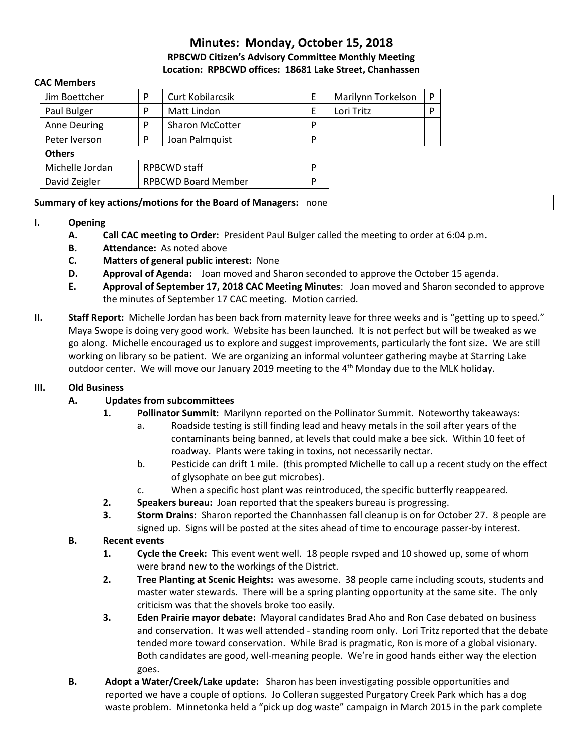# **Minutes: Monday, October 15, 2018**

**RPBCWD Citizen's Advisory Committee Monthly Meeting Location: RPBCWD offices: 18681 Lake Street, Chanhassen**

#### **CAC Members**

| Jim Boettcher       | P                          | <b>Curt Kobilarcsik</b> | E | Marilynn Torkelson | P |
|---------------------|----------------------------|-------------------------|---|--------------------|---|
| Paul Bulger         | P                          | Matt Lindon             | Ε | Lori Tritz         | P |
| <b>Anne Deuring</b> | P                          | <b>Sharon McCotter</b>  | P |                    |   |
| Peter Iverson       | P                          | Joan Palmquist          | P |                    |   |
| <b>Others</b>       |                            |                         |   |                    |   |
| Michelle Jordan     | <b>RPBCWD staff</b>        |                         | P |                    |   |
| David Zeigler       | <b>RPBCWD Board Member</b> |                         | D |                    |   |
|                     |                            |                         |   |                    |   |

## **Summary of key actions/motions for the Board of Managers:** none

## **I. Opening**

- **A. Call CAC meeting to Order:** President Paul Bulger called the meeting to order at 6:04 p.m.
- **B. Attendance:** As noted above
- **C. Matters of general public interest:** None
- **D. Approval of Agenda:** Joan moved and Sharon seconded to approve the October 15 agenda.
- **E. Approval of September 17, 2018 CAC Meeting Minutes**: Joan moved and Sharon seconded to approve the minutes of September 17 CAC meeting. Motion carried.
- **II. Staff Report:** Michelle Jordan has been back from maternity leave for three weeks and is "getting up to speed." Maya Swope is doing very good work. Website has been launched. It is not perfect but will be tweaked as we go along. Michelle encouraged us to explore and suggest improvements, particularly the font size. We are still working on library so be patient. We are organizing an informal volunteer gathering maybe at Starring Lake outdoor center. We will move our January 2019 meeting to the 4<sup>th</sup> Monday due to the MLK holiday.

# **III. Old Business**

# **A. Updates from subcommittees**

- **1. Pollinator Summit:** Marilynn reported on the Pollinator Summit. Noteworthy takeaways:
	- a. Roadside testing is still finding lead and heavy metals in the soil after years of the contaminants being banned, at levels that could make a bee sick. Within 10 feet of roadway. Plants were taking in toxins, not necessarily nectar.
	- b. Pesticide can drift 1 mile. (this prompted Michelle to call up a recent study on the effect of glysophate on bee gut microbes).
	- c. When a specific host plant was reintroduced, the specific butterfly reappeared.
- **2. Speakers bureau:** Joan reported that the speakers bureau is progressing.
- **3. Storm Drains:** Sharon reported the Channhassen fall cleanup is on for October 27. 8 people are signed up. Signs will be posted at the sites ahead of time to encourage passer-by interest.

# **B. Recent events**

- **1. Cycle the Creek:** This event went well. 18 people rsvped and 10 showed up, some of whom were brand new to the workings of the District.
- **2. Tree Planting at Scenic Heights:** was awesome. 38 people came including scouts, students and master water stewards. There will be a spring planting opportunity at the same site. The only criticism was that the shovels broke too easily.
- **3. Eden Prairie mayor debate:** Mayoral candidates Brad Aho and Ron Case debated on business and conservation. It was well attended - standing room only. Lori Tritz reported that the debate tended more toward conservation. While Brad is pragmatic, Ron is more of a global visionary. Both candidates are good, well-meaning people. We're in good hands either way the election goes.
- **B. Adopt a Water/Creek/Lake update:** Sharon has been investigating possible opportunities and reported we have a couple of options. Jo Colleran suggested Purgatory Creek Park which has a dog waste problem. Minnetonka held a "pick up dog waste" campaign in March 2015 in the park complete